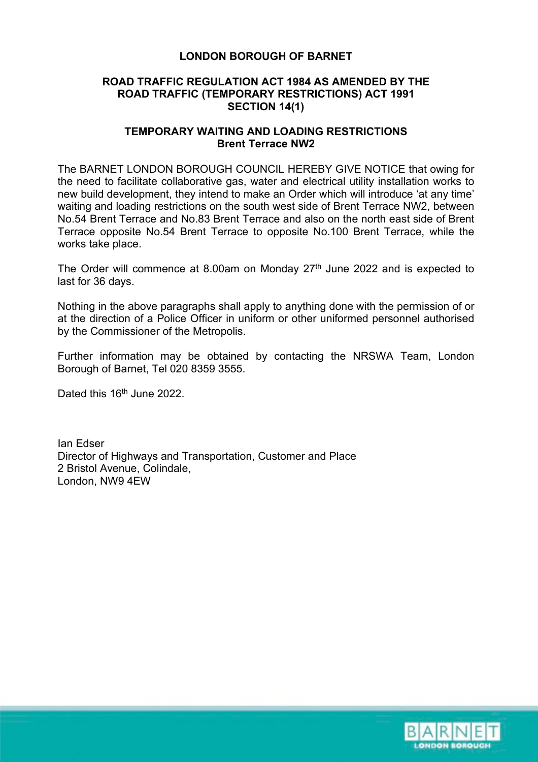# **LONDON BOROUGH OF BARNET**

# **ROAD TRAFFIC REGULATION ACT 1984 AS AMENDED BY THE ROAD TRAFFIC (TEMPORARY RESTRICTIONS) ACT 1991 SECTION 14(1)**

#### **TEMPORARY WAITING AND LOADING RESTRICTIONS Brent Terrace NW2**

The BARNET LONDON BOROUGH COUNCIL HEREBY GIVE NOTICE that owing for the need to facilitate collaborative gas, water and electrical utility installation works to new build development, they intend to make an Order which will introduce 'at any time' waiting and loading restrictions on the south west side of Brent Terrace NW2, between No.54 Brent Terrace and No.83 Brent Terrace and also on the north east side of Brent Terrace opposite No.54 Brent Terrace to opposite No.100 Brent Terrace, while the works take place.

The Order will commence at 8.00am on Monday  $27<sup>th</sup>$  June 2022 and is expected to last for 36 days.

Nothing in the above paragraphs shall apply to anything done with the permission of or at the direction of a Police Officer in uniform or other uniformed personnel authorised by the Commissioner of the Metropolis.

Further information may be obtained by contacting the NRSWA Team, London Borough of Barnet, Tel 020 8359 3555.

Dated this 16<sup>th</sup> June 2022.

Ian Edser Director of Highways and Transportation, Customer and Place 2 Bristol Avenue, Colindale, London, NW9 4EW